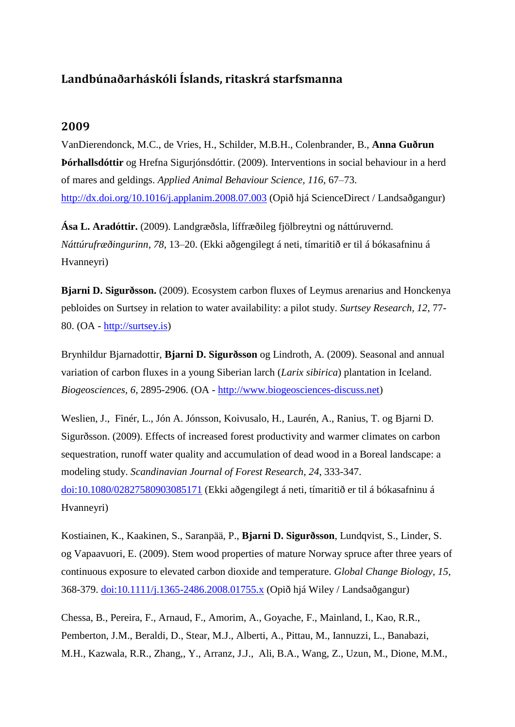## **Landbúnaðarháskóli Íslands, ritaskrá starfsmanna**

## **2009**

VanDierendonck, M.C., de Vries, H., Schilder, M.B.H., Colenbrander, B., **Anna Guðrun Þórhallsdóttir** og Hrefna Sigurjónsdóttir. (2009). Interventions in social behaviour in a herd of mares and geldings. *Applied Animal Behaviour Science, 116*, 67–73. <http://dx.doi.org/10.1016/j.applanim.2008.07.003> (Opið hjá ScienceDirect / Landsaðgangur)

**Ása L. Aradóttir.** (2009). Landgræðsla, líffræðileg fjölbreytni og náttúruvernd. *Náttúrufræðingurinn, 78*, 13–20. (Ekki aðgengilegt á neti, tímaritið er til á bókasafninu á Hvanneyri)

**Bjarni D. Sigurðsson.** (2009). Ecosystem carbon fluxes of Leymus arenarius and Honckenya pebloides on Surtsey in relation to water availability: a pilot study. *Surtsey Research, 12*, 77- 80. (OA - [http://surtsey.is\)](http://surtsey.is/SRS_publ/2009-XII/low_res/2009-XII_077-080_Ecosystem--lw.pdf)

Brynhildur Bjarnadottir, **Bjarni D. Sigurðsson** og Lindroth, A. (2009). Seasonal and annual variation of carbon fluxes in a young Siberian larch (*Larix sibirica*) plantation in Iceland. *Biogeosciences, 6*, 2895-2906. (OA - [http://www.biogeosciences-discuss.net\)](http://www.biogeosciences-discuss.net/6/6601/2009/bgd-6-6601-2009.pdf)

Weslien, J., Finér, L., Jón A. Jónsson, Koivusalo, H., Laurén, A., Ranius, T. og Bjarni D. Sigurðsson. (2009). Effects of increased forest productivity and warmer climates on carbon sequestration, runoff water quality and accumulation of dead wood in a Boreal landscape: a modeling study. *Scandinavian Journal of Forest Research, 24*, 333-347. [doi:10.1080/02827580903085171](http://www.tandfonline.com/doi/abs/10.1080/02827580903085171#.UoI8aXC8DDs) (Ekki aðgengilegt á neti, tímaritið er til á bókasafninu á Hvanneyri)

Kostiainen, K., Kaakinen, S., Saranpää, P., **Bjarni D. Sigurðsson**, Lundqvist, S., Linder, S. og Vapaavuori, E. (2009). Stem wood properties of mature Norway spruce after three years of continuous exposure to elevated carbon dioxide and temperature. *Global Change Biology, 15*, 368-379. [doi:10.1111/j.1365-2486.2008.01755.x](http://onlinelibrary.wiley.com/doi/10.1111/j.1365-2486.2008.01755.x/pdf) (Opið hjá Wiley / Landsaðgangur)

Chessa, B., Pereira, F., Arnaud, F., Amorim, A., Goyache, F., Mainland, I., Kao, R.R., Pemberton, J.M., Beraldi, D., Stear, M.J., Alberti, A., Pittau, M., Iannuzzi, L., Banabazi, M.H., Kazwala, R.R., Zhang,, Y., Arranz, J.J., Ali, B.A., Wang, Z., Uzun, M., Dione, M.M.,